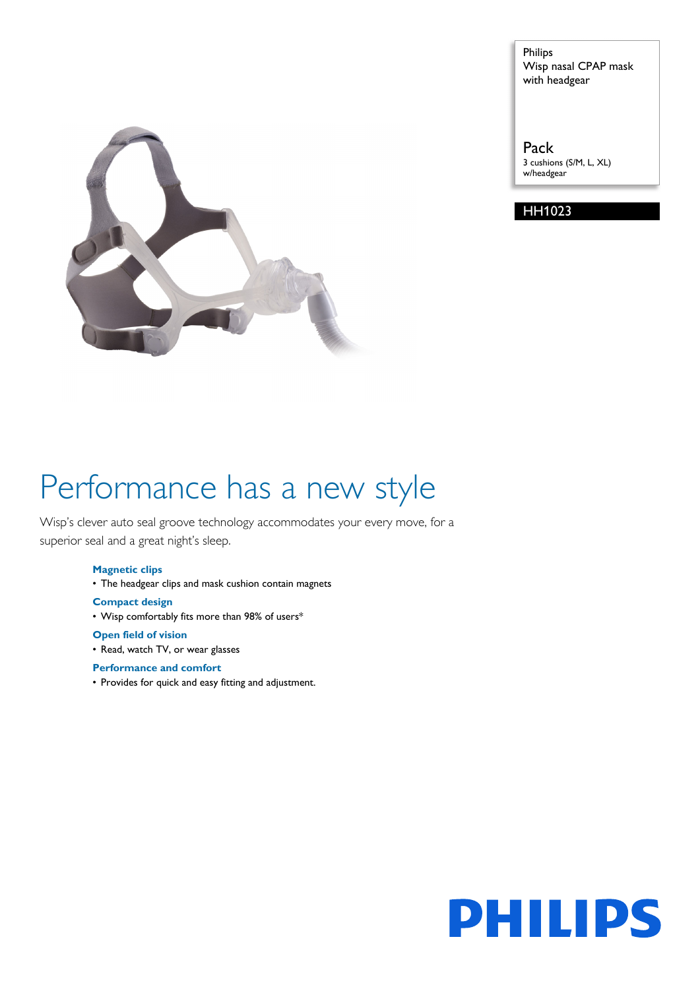

Philips Wisp nasal CPAP mask with headgear

Pack 3 cushions (S/M, L, XL) w/headgear

HH1023

# Performance has a new style

Wisp's clever auto seal groove technology accommodates your every move, for a superior seal and a great night's sleep.

#### **Magnetic clips**

• The headgear clips and mask cushion contain magnets

**Compact design**

• Wisp comfortably fits more than 98% of users\*

**Open field of vision**

• Read, watch TV, or wear glasses

#### **Performance and comfort**

• Provides for quick and easy fitting and adjustment.